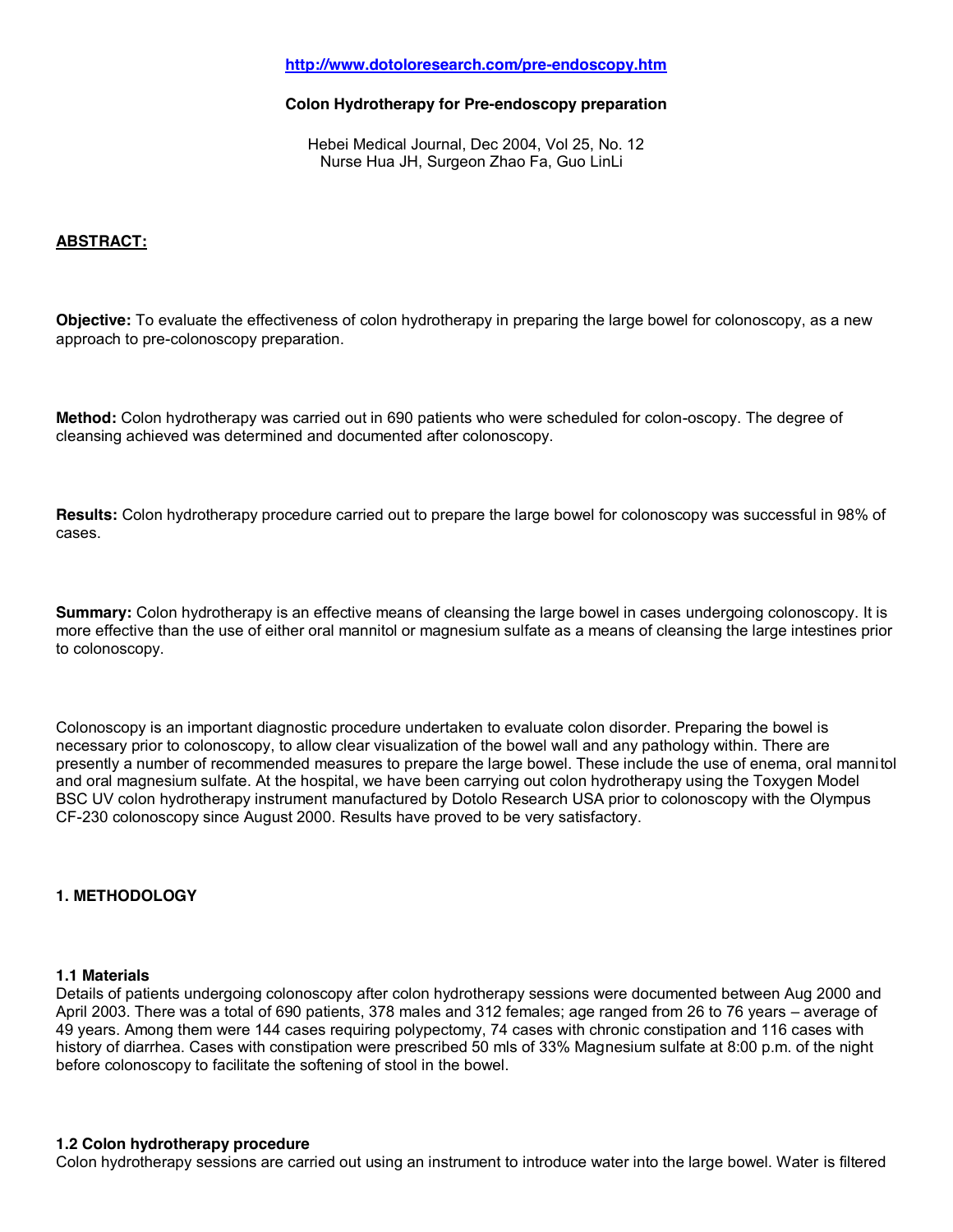# **<http://www.dotoloresearch.com/pre-endoscopy.htm>**

### **Colon Hydrotherapy for Pre-endoscopy preparation**

Hebei Medical Journal, Dec 2004, Vol 25, No. 12 Nurse Hua JH, Surgeon Zhao Fa, Guo LinLi

# **ABSTRACT:**

**Objective:** To evaluate the effectiveness of colon hydrotherapy in preparing the large bowel for colonoscopy, as a new approach to pre-colonoscopy preparation.

**Method:** Colon hydrotherapy was carried out in 690 patients who were scheduled for colon-oscopy. The degree of cleansing achieved was determined and documented after colonoscopy.

**Results:** Colon hydrotherapy procedure carried out to prepare the large bowel for colonoscopy was successful in 98% of cases.

**Summary:** Colon hydrotherapy is an effective means of cleansing the large bowel in cases undergoing colonoscopy. It is more effective than the use of either oral mannitol or magnesium sulfate as a means of cleansing the large intestines prior to colonoscopy.

Colonoscopy is an important diagnostic procedure undertaken to evaluate colon disorder. Preparing the bowel is necessary prior to colonoscopy, to allow clear visualization of the bowel wall and any pathology within. There are presently a number of recommended measures to prepare the large bowel. These include the use of enema, oral mannitol and oral magnesium sulfate. At the hospital, we have been carrying out colon hydrotherapy using the Toxygen Model BSC UV colon hydrotherapy instrument manufactured by Dotolo Research USA prior to colonoscopy with the Olympus CF-230 colonoscopy since August 2000. Results have proved to be very satisfactory.

### **1. METHODOLOGY**

### **1.1 Materials**

Details of patients undergoing colonoscopy after colon hydrotherapy sessions were documented between Aug 2000 and April 2003. There was a total of 690 patients, 378 males and 312 females; age ranged from 26 to 76 years – average of 49 years. Among them were 144 cases requiring polypectomy, 74 cases with chronic constipation and 116 cases with history of diarrhea. Cases with constipation were prescribed 50 mls of 33% Magnesium sulfate at 8:00 p.m. of the night before colonoscopy to facilitate the softening of stool in the bowel.

#### **1.2 Colon hydrotherapy procedure**

Colon hydrotherapy sessions are carried out using an instrument to introduce water into the large bowel. Water is filtered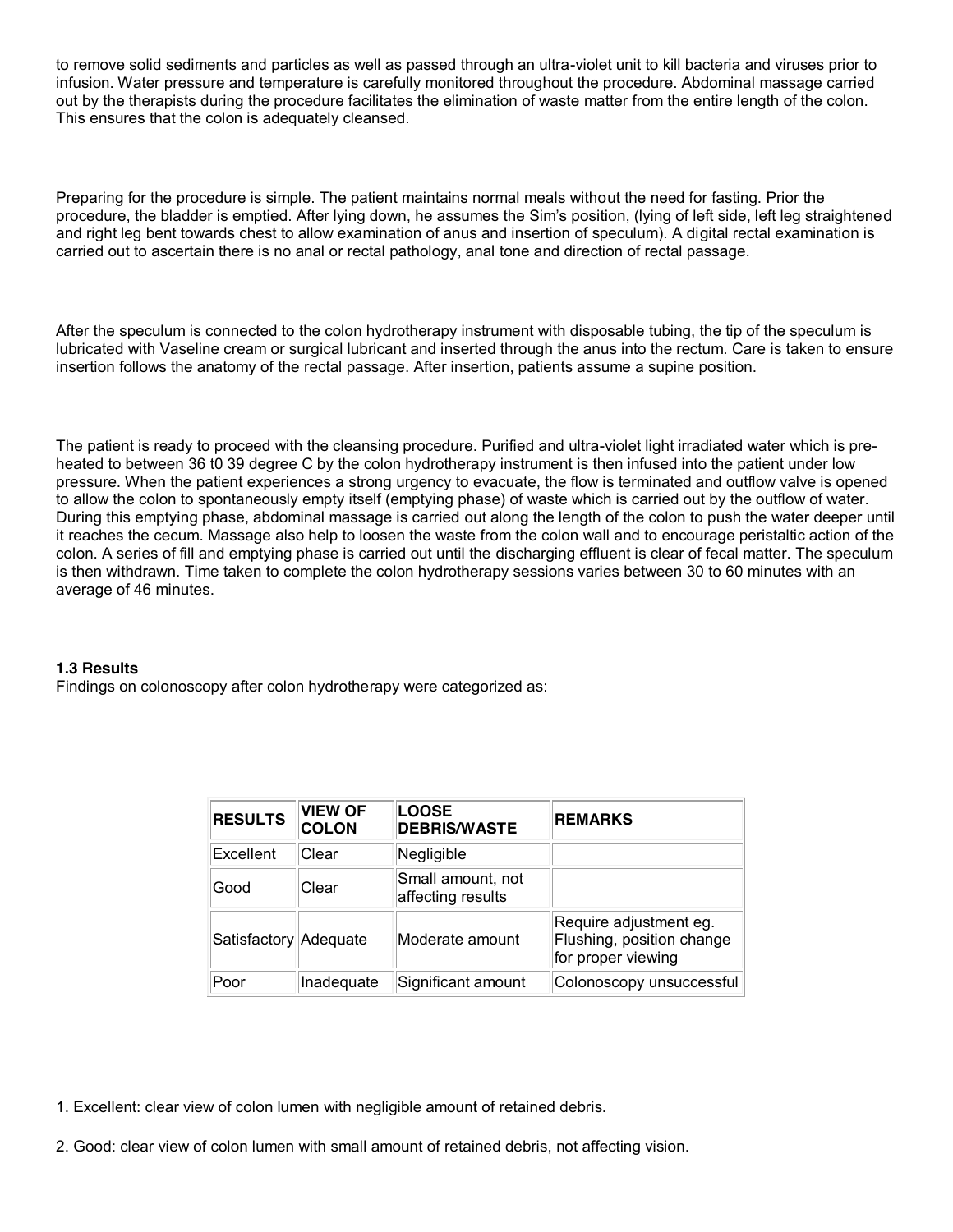to remove solid sediments and particles as well as passed through an ultra-violet unit to kill bacteria and viruses prior to infusion. Water pressure and temperature is carefully monitored throughout the procedure. Abdominal massage carried out by the therapists during the procedure facilitates the elimination of waste matter from the entire length of the colon. This ensures that the colon is adequately cleansed.

Preparing for the procedure is simple. The patient maintains normal meals without the need for fasting. Prior the procedure, the bladder is emptied. After lying down, he assumes the Sim's position, (lying of left side, left leg straightened and right leg bent towards chest to allow examination of anus and insertion of speculum). A digital rectal examination is carried out to ascertain there is no anal or rectal pathology, anal tone and direction of rectal passage.

After the speculum is connected to the colon hydrotherapy instrument with disposable tubing, the tip of the speculum is lubricated with Vaseline cream or surgical lubricant and inserted through the anus into the rectum. Care is taken to ensure insertion follows the anatomy of the rectal passage. After insertion, patients assume a supine position.

The patient is ready to proceed with the cleansing procedure. Purified and ultra-violet light irradiated water which is preheated to between 36 t0 39 degree C by the colon hydrotherapy instrument is then infused into the patient under low pressure. When the patient experiences a strong urgency to evacuate, the flow is terminated and outflow valve is opened to allow the colon to spontaneously empty itself (emptying phase) of waste which is carried out by the outflow of water. During this emptying phase, abdominal massage is carried out along the length of the colon to push the water deeper until it reaches the cecum. Massage also help to loosen the waste from the colon wall and to encourage peristaltic action of the colon. A series of fill and emptying phase is carried out until the discharging effluent is clear of fecal matter. The speculum is then withdrawn. Time taken to complete the colon hydrotherapy sessions varies between 30 to 60 minutes with an average of 46 minutes.

# **1.3 Results**

Findings on colonoscopy after colon hydrotherapy were categorized as:

| <b>RESULTS</b>        | <b>VIEW OF</b><br><b>COLON</b> | <b>LOOSE</b><br><b>DEBRIS/WASTE</b>    | <b>REMARKS</b>                                                            |
|-----------------------|--------------------------------|----------------------------------------|---------------------------------------------------------------------------|
| Excellent             | Clear                          | Negligible                             |                                                                           |
| Good                  | Clear                          | Small amount, not<br>affecting results |                                                                           |
| Satisfactory Adequate |                                | Moderate amount                        | Require adjustment eg.<br>Flushing, position change<br>for proper viewing |
| Poor                  | Inadequate                     | Significant amount                     | Colonoscopy unsuccessful                                                  |

1. Excellent: clear view of colon lumen with negligible amount of retained debris.

2. Good: clear view of colon lumen with small amount of retained debris, not affecting vision.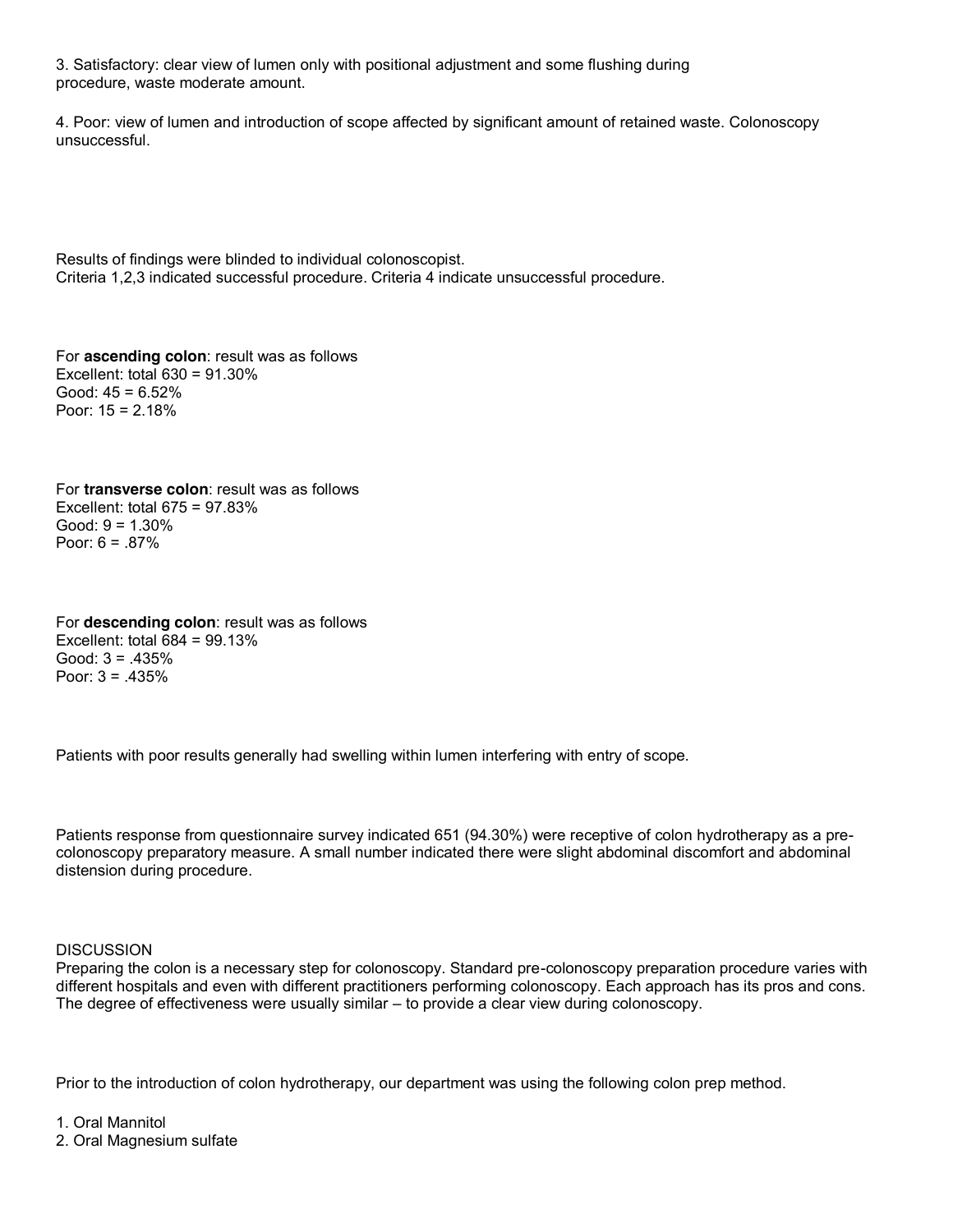3. Satisfactory: clear view of lumen only with positional adjustment and some flushing during procedure, waste moderate amount.

4. Poor: view of lumen and introduction of scope affected by significant amount of retained waste. Colonoscopy unsuccessful.

Results of findings were blinded to individual colonoscopist. Criteria 1,2,3 indicated successful procedure. Criteria 4 indicate unsuccessful procedure.

For **ascending colon**: result was as follows Excellent: total 630 = 91.30% Good:  $45 = 6.52\%$ Poor: 15 = 2.18%

For **transverse colon**: result was as follows Excellent: total 675 = 97.83% Good: 9 = 1.30% Poor:  $6 = .87\%$ 

For **descending colon**: result was as follows Excellent: total 684 = 99.13% Good: 3 = .435% Poor: 3 = .435%

Patients with poor results generally had swelling within lumen interfering with entry of scope.

Patients response from questionnaire survey indicated 651 (94.30%) were receptive of colon hydrotherapy as a precolonoscopy preparatory measure. A small number indicated there were slight abdominal discomfort and abdominal distension during procedure.

### **DISCUSSION**

Preparing the colon is a necessary step for colonoscopy. Standard pre-colonoscopy preparation procedure varies with different hospitals and even with different practitioners performing colonoscopy. Each approach has its pros and cons. The degree of effectiveness were usually similar – to provide a clear view during colonoscopy.

Prior to the introduction of colon hydrotherapy, our department was using the following colon prep method.

1. Oral Mannitol

2. Oral Magnesium sulfate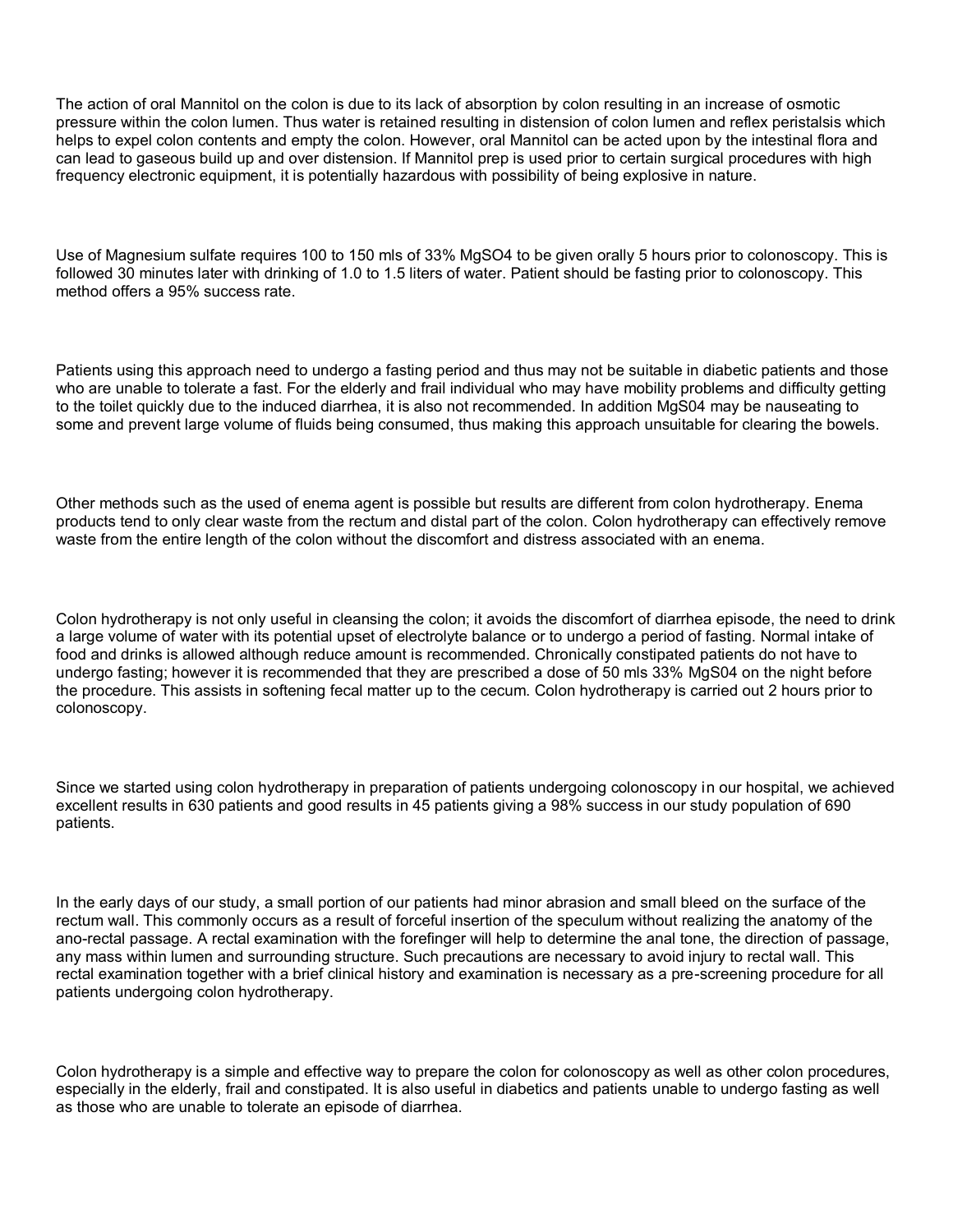The action of oral Mannitol on the colon is due to its lack of absorption by colon resulting in an increase of osmotic pressure within the colon lumen. Thus water is retained resulting in distension of colon lumen and reflex peristalsis which helps to expel colon contents and empty the colon. However, oral Mannitol can be acted upon by the intestinal flora and can lead to gaseous build up and over distension. If Mannitol prep is used prior to certain surgical procedures with high frequency electronic equipment, it is potentially hazardous with possibility of being explosive in nature.

Use of Magnesium sulfate requires 100 to 150 mls of 33% MgSO4 to be given orally 5 hours prior to colonoscopy. This is followed 30 minutes later with drinking of 1.0 to 1.5 liters of water. Patient should be fasting prior to colonoscopy. This method offers a 95% success rate.

Patients using this approach need to undergo a fasting period and thus may not be suitable in diabetic patients and those who are unable to tolerate a fast. For the elderly and frail individual who may have mobility problems and difficulty getting to the toilet quickly due to the induced diarrhea, it is also not recommended. In addition MgS04 may be nauseating to some and prevent large volume of fluids being consumed, thus making this approach unsuitable for clearing the bowels.

Other methods such as the used of enema agent is possible but results are different from colon hydrotherapy. Enema products tend to only clear waste from the rectum and distal part of the colon. Colon hydrotherapy can effectively remove waste from the entire length of the colon without the discomfort and distress associated with an enema.

Colon hydrotherapy is not only useful in cleansing the colon; it avoids the discomfort of diarrhea episode, the need to drink a large volume of water with its potential upset of electrolyte balance or to undergo a period of fasting. Normal intake of food and drinks is allowed although reduce amount is recommended. Chronically constipated patients do not have to undergo fasting; however it is recommended that they are prescribed a dose of 50 mls 33% MgS04 on the night before the procedure. This assists in softening fecal matter up to the cecum. Colon hydrotherapy is carried out 2 hours prior to colonoscopy.

Since we started using colon hydrotherapy in preparation of patients undergoing colonoscopy in our hospital, we achieved excellent results in 630 patients and good results in 45 patients giving a 98% success in our study population of 690 patients.

In the early days of our study, a small portion of our patients had minor abrasion and small bleed on the surface of the rectum wall. This commonly occurs as a result of forceful insertion of the speculum without realizing the anatomy of the ano-rectal passage. A rectal examination with the forefinger will help to determine the anal tone, the direction of passage, any mass within lumen and surrounding structure. Such precautions are necessary to avoid injury to rectal wall. This rectal examination together with a brief clinical history and examination is necessary as a pre-screening procedure for all patients undergoing colon hydrotherapy.

Colon hydrotherapy is a simple and effective way to prepare the colon for colonoscopy as well as other colon procedures, especially in the elderly, frail and constipated. It is also useful in diabetics and patients unable to undergo fasting as well as those who are unable to tolerate an episode of diarrhea.